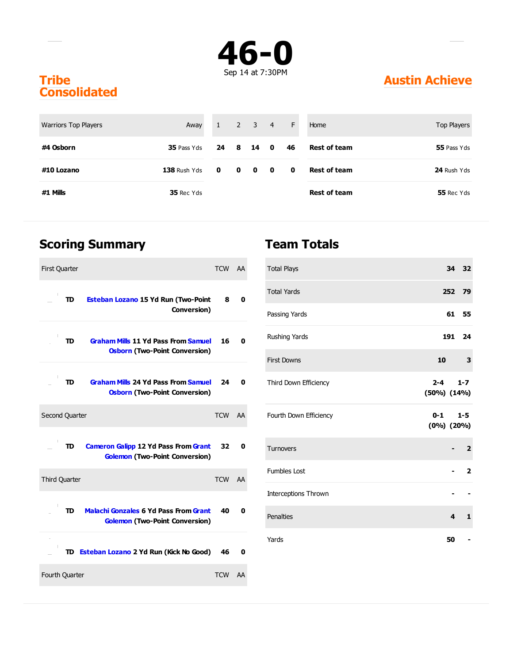

#### **Tribe Consolidated**

| <b>Warriors Top Players</b> | Away           | 1            |             | $2 \quad 3 \quad 4$                                          |              | F         | Home                | Top Players |
|-----------------------------|----------------|--------------|-------------|--------------------------------------------------------------|--------------|-----------|---------------------|-------------|
| #4 Osborn                   | 35 Pass Yds    | 24 8         |             | - 14                                                         | $\mathbf{0}$ | 46        | <b>Rest of team</b> | 55 Pass Yds |
| #10 Lozano                  | $138$ Rush Yds | $\mathbf{0}$ | $\mathbf 0$ | $\begin{array}{ccc} & & \mathbf{0} & \mathbf{0} \end{array}$ |              | $\bullet$ | <b>Rest of team</b> | 24 Rush Yds |
| #1 Mills                    | 35 Rec Yds     |              |             |                                                              |              |           | <b>Rest of team</b> | 55 Rec Yds  |

### **Scoring Summary**

| <b>First Quarter</b>                                                                        | TCW AA     |    |
|---------------------------------------------------------------------------------------------|------------|----|
| TD<br><b>Esteban Lozano 15 Yd Run (Two-Point</b><br>Conversion)                             | 8          | 0  |
| <b>Graham Mills 11 Yd Pass From Samuel</b><br>TD<br><b>Osborn (Two-Point Conversion)</b>    | 16         | 0  |
| <b>Graham Mills 24 Yd Pass From Samuel</b><br>TD<br><b>Osborn (Two-Point Conversion)</b>    | 24         | 0  |
| Second Quarter                                                                              | <b>TCW</b> | AA |
| <b>Cameron Galipp 12 Yd Pass From Grant</b><br>TD<br><b>Golemon (Two-Point Conversion)</b>  | 32         | 0  |
| <b>Third Quarter</b>                                                                        | TCW AA     |    |
| <b>Malachi Gonzales 6 Yd Pass From Grant</b><br>TD<br><b>Golemon (Two-Point Conversion)</b> | 40         | U  |
| TD Esteban Lozano 2 Yd Run (Kick No Good)                                                   | 46         | 0  |
| Fourth Quarter                                                                              | <b>TCW</b> | AA |

#### **Team Totals**

| <b>Total Plays</b>          |                            |                         | 34 32          |
|-----------------------------|----------------------------|-------------------------|----------------|
| <b>Total Yards</b>          |                            |                         | 252 79         |
| Passing Yards               |                            |                         | 61 55          |
| Rushing Yards               |                            |                         | 191 24         |
| <b>First Downs</b>          | 10                         |                         | 3              |
| Third Down Efficiency       | $2 - 4$<br>$(50\%) (14\%)$ |                         | $1 - 7$        |
| Fourth Down Efficiency      | $0 - 1$<br>$(0\%) (20\%)$  |                         | $1 - 5$        |
| <b>Turnovers</b>            |                            |                         | $\overline{2}$ |
| <b>Fumbles Lost</b>         |                            |                         | $\mathbf{2}$   |
| <b>Interceptions Thrown</b> |                            |                         |                |
| Penalties                   |                            | $\overline{\mathbf{4}}$ | $\mathbf{1}$   |
| Yards                       |                            | 50                      |                |

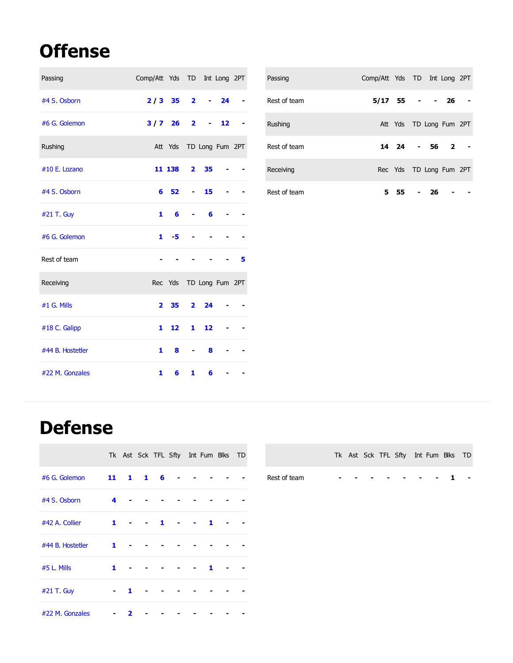## **Offense**

| Passing          | Comp/Att Yds TD Int Long 2PT |                            |                |                   |       |   |
|------------------|------------------------------|----------------------------|----------------|-------------------|-------|---|
| #4 S. Osborn     | $2/3$ 35 2                   |                            |                |                   | $-24$ |   |
| #6 G. Golemon    | $3/7$ 26 2                   |                            |                | $\sim$ 100 $\mu$  | 12    |   |
| Rushing          |                              | Att Yds TD Long Fum 2PT    |                |                   |       |   |
| #10 E. Lozano    |                              | 11 138 2 35                |                |                   |       |   |
| #4 S. Osborn     |                              | 6 52                       | $\blacksquare$ | 15                |       |   |
| #21 T. Guy       | 1                            | 6                          | $\sim$         | 6                 |       |   |
| #6 G. Golemon    |                              | $1 - 5$                    |                |                   |       |   |
| Rest of team     |                              |                            |                |                   |       | 5 |
| Receiving        |                              | Rec Yds TD Long Fum 2PT    |                |                   |       |   |
| #1 G. Mills      |                              | $2\quad 35\quad 2\quad 24$ |                |                   |       |   |
| #18 C. Galipp    | 1                            | 12                         | $\mathbf{1}$   | 12                |       |   |
| #44 B. Hostetler | 1                            | 8                          |                | 8                 |       |   |
| #22 M. Gonzales  | 1                            | 6                          |                | $\mathbf{1}$<br>6 |       |   |

| Passing      | Comp/Att Yds TD Int Long 2PT |        |    |                         |  |
|--------------|------------------------------|--------|----|-------------------------|--|
| Rest of team | $5/17$ 55 - - 26             |        |    |                         |  |
| Rushing      |                              |        |    | Att Yds TD Long Fum 2PT |  |
| Rest of team |                              |        |    | 14 24 - 56 2            |  |
| Receiving    |                              |        |    | Rec Yds TD Long Fum 2PT |  |
| Rest of team |                              | 5 55 - | 26 |                         |  |

### **Defense**

|                  |                |                |          |                |                |                | Tk Ast Sck TFL Sfty Int Fum Blks TD |  |
|------------------|----------------|----------------|----------|----------------|----------------|----------------|-------------------------------------|--|
| #6 G. Golemon    |                |                | 11 1 1 6 |                |                |                |                                     |  |
| #4 S. Osborn     | 4              |                |          |                |                |                |                                     |  |
| #42 A. Collier   | $\mathbf{1}$   | $\blacksquare$ |          | $\blacksquare$ | $\blacksquare$ | $\blacksquare$ |                                     |  |
| #44 B. Hostetler | 1              |                |          |                |                |                |                                     |  |
| #5 L. Mills      | 1.             |                |          |                |                | 1              |                                     |  |
| #21 T. Guy       | $\blacksquare$ | 1              |          |                |                |                |                                     |  |
| #22 M. Gonzales  |                | 7              |          |                |                |                |                                     |  |